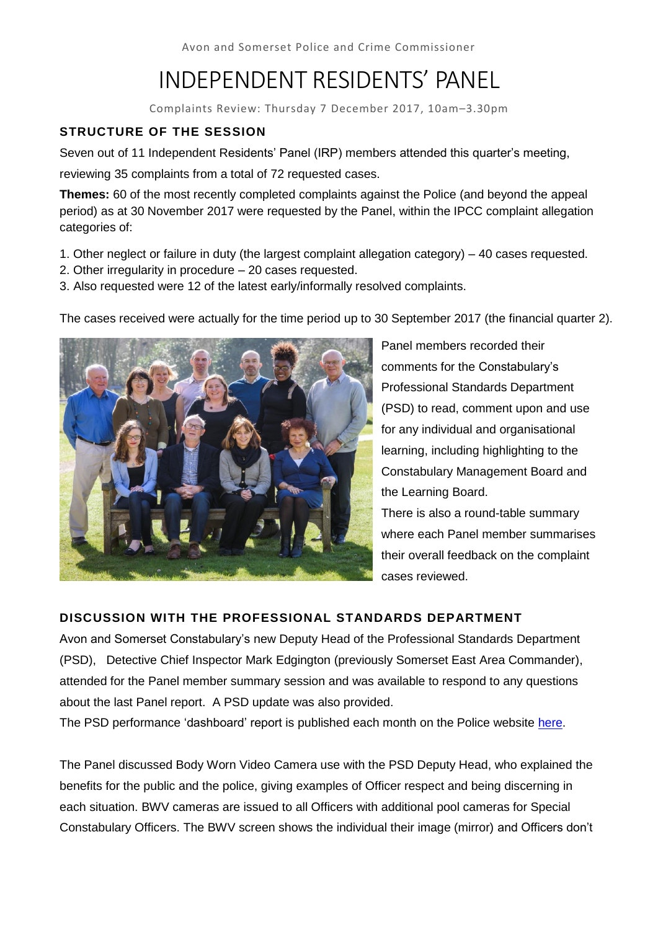Avon and Somerset Police and Crime Commissioner

# INDEPENDENT RESIDENTS' PANEL

Complaints Review: Thursday 7 December 2017, 10am–3.30pm

# **STRUCTURE OF THE SESSION**

Seven out of 11 Independent Residents' Panel (IRP) members attended this quarter's meeting,

reviewing 35 complaints from a total of 72 requested cases.

**Themes:** 60 of the most recently completed complaints against the Police (and beyond the appeal period) as at 30 November 2017 were requested by the Panel, within the IPCC complaint allegation categories of:

- 1. Other neglect or failure in duty (the largest complaint allegation category) 40 cases requested.
- 2. Other irregularity in procedure 20 cases requested.
- 3. Also requested were 12 of the latest early/informally resolved complaints.

The cases received were actually for the time period up to 30 September 2017 (the financial quarter 2).



Panel members recorded their comments for the Constabulary's Professional Standards Department (PSD) to read, comment upon and use for any individual and organisational learning, including highlighting to the Constabulary Management Board and the Learning Board. There is also a round-table summary

where each Panel member summarises their overall feedback on the complaint cases reviewed.

# **DISCUSSION WITH THE PROFESSIONAL STANDARDS DEPARTMENT**

Avon and Somerset Constabulary's new Deputy Head of the Professional Standards Department (PSD), Detective Chief Inspector Mark Edgington (previously Somerset East Area Commander), attended for the Panel member summary session and was available to respond to any questions about the last Panel report. A PSD update was also provided.

The PSD performance 'dashboard' report is published each month on the Police website [here.](https://www.avonandsomerset.police.uk/about-us/publication-scheme/what-our-priorities-are-and-how-we-are-doing/professional-standards-performance-information/)

The Panel discussed Body Worn Video Camera use with the PSD Deputy Head, who explained the benefits for the public and the police, giving examples of Officer respect and being discerning in each situation. BWV cameras are issued to all Officers with additional pool cameras for Special Constabulary Officers. The BWV screen shows the individual their image (mirror) and Officers don't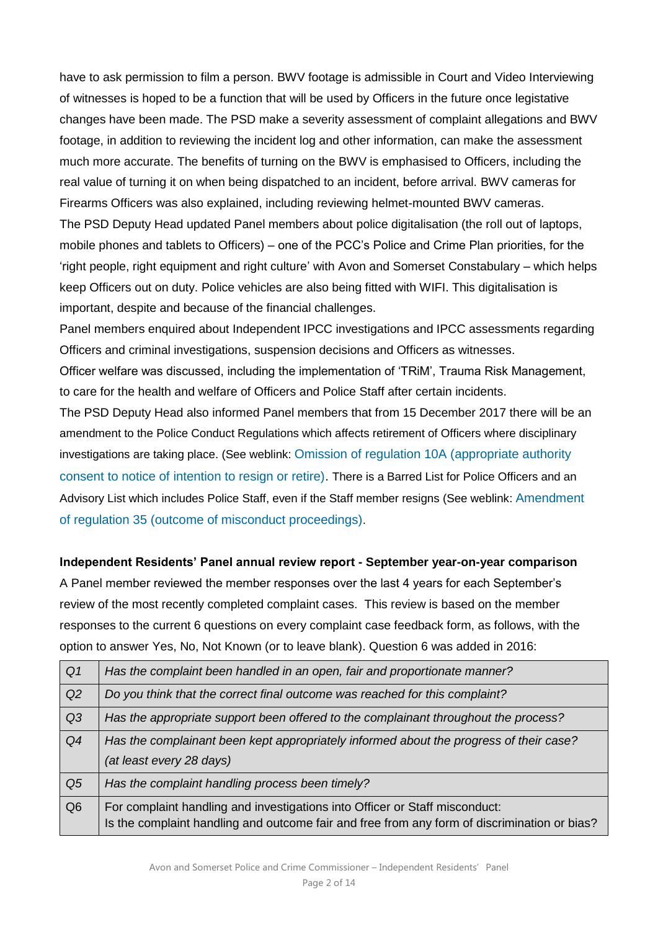have to ask permission to film a person. BWV footage is admissible in Court and Video Interviewing of witnesses is hoped to be a function that will be used by Officers in the future once legistative changes have been made. The PSD make a severity assessment of complaint allegations and BWV footage, in addition to reviewing the incident log and other information, can make the assessment much more accurate. The benefits of turning on the BWV is emphasised to Officers, including the real value of turning it on when being dispatched to an incident, before arrival. BWV cameras for Firearms Officers was also explained, including reviewing helmet-mounted BWV cameras. The PSD Deputy Head updated Panel members about police digitalisation (the roll out of laptops,

mobile phones and tablets to Officers) – one of the PCC's Police and Crime Plan priorities, for the 'right people, right equipment and right culture' with Avon and Somerset Constabulary – which helps keep Officers out on duty. Police vehicles are also being fitted with WIFI. This digitalisation is important, despite and because of the financial challenges.

Panel members enquired about Independent IPCC investigations and IPCC assessments regarding Officers and criminal investigations, suspension decisions and Officers as witnesses.

Officer welfare was discussed, including the implementation of 'TRiM', Trauma Risk Management, to care for the health and welfare of Officers and Police Staff after certain incidents.

The PSD Deputy Head also informed Panel members that from 15 December 2017 there will be an amendment to the Police Conduct Regulations which affects retirement of Officers where disciplinary investigations are taking place. (See weblink: [Omission of regulation 10A \(appropriate authority](http://www.legislation.gov.uk/uksi/2017/1134/regulation/6/made)  [consent to notice of intention to resign or retire\).](http://www.legislation.gov.uk/uksi/2017/1134/regulation/6/made) There is a Barred List for Police Officers and an Advisory List which includes Police Staff, even if the Staff member resigns (See weblink: [Amendment](http://www.legislation.gov.uk/uksi/2017/1134/regulation/9/made)  [of regulation 35 \(outcome of misconduct proceedings\)](http://www.legislation.gov.uk/uksi/2017/1134/regulation/9/made).

**Independent Residents' Panel annual review report - September year-on-year comparison** A Panel member reviewed the member responses over the last 4 years for each September's review of the most recently completed complaint cases. This review is based on the member responses to the current 6 questions on every complaint case feedback form, as follows, with the option to answer Yes, No, Not Known (or to leave blank). Question 6 was added in 2016:

| Q <sub>1</sub> | Has the complaint been handled in an open, fair and proportionate manner?                                                                                                   |
|----------------|-----------------------------------------------------------------------------------------------------------------------------------------------------------------------------|
| Q2             | Do you think that the correct final outcome was reached for this complaint?                                                                                                 |
| Q3             | Has the appropriate support been offered to the complainant throughout the process?                                                                                         |
| Q4             | Has the complainant been kept appropriately informed about the progress of their case?<br>(at least every 28 days)                                                          |
| Q <sub>5</sub> | Has the complaint handling process been timely?                                                                                                                             |
| Q <sub>6</sub> | For complaint handling and investigations into Officer or Staff misconduct:<br>Is the complaint handling and outcome fair and free from any form of discrimination or bias? |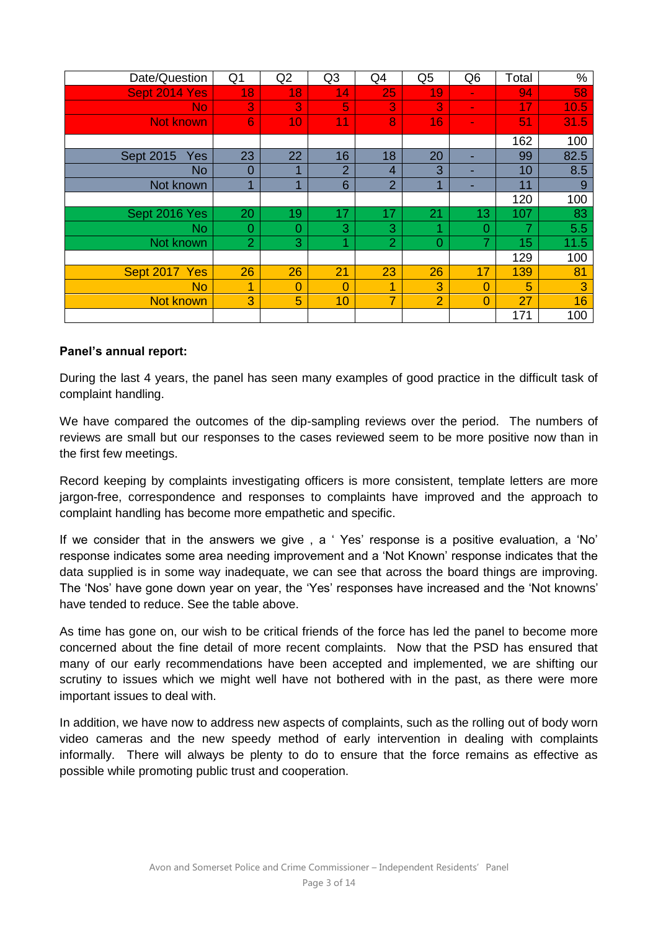| Date/Question           | Q1             | Q2 | Q <sub>3</sub> | Q4             | Q <sub>5</sub> | Q <sub>6</sub> | Total | $\%$ |
|-------------------------|----------------|----|----------------|----------------|----------------|----------------|-------|------|
| Sept 2014 Yes           | 18             | 18 | 14             | 25             | 19             | $\blacksquare$ | 94    | 58   |
| <b>No</b>               | 3              | 3  | 5              | 3              | 3              | $\blacksquare$ | 17    | 10.5 |
| <b>Not known</b>        | 6              | 10 | 11             | 8              | 16             | $\blacksquare$ | 51    | 31.5 |
|                         |                |    |                |                |                |                | 162   | 100  |
| <b>Sept 2015</b><br>Yes | 23             | 22 | 16             | 18             | 20             |                | 99    | 82.5 |
| <b>No</b>               | $\overline{0}$ | 4  | $\overline{2}$ | 4              | 3              |                | 10    | 8.5  |
| Not known               | 4              | 4  | 6              | $\overline{2}$ | и              |                | 11    | 9    |
|                         |                |    |                |                |                |                | 120   | 100  |
| Sept 2016 Yes           | 20             | 19 | 17             | 17             | 21             | 13             | 107   | 83   |
| <b>No</b>               | 0              | 0  | 3              | 3              | и              | 0              |       | 5.5  |
| Not known               | $\overline{2}$ | 3  | 4              | $\overline{2}$ | $\Omega$       | 7              | 15    | 11.5 |
|                         |                |    |                |                |                |                | 129   | 100  |
| Sept 2017 Yes           | 26             | 26 | 21             | 23             | 26             | 17             | 139   | 81   |
| <b>No</b>               | 1              | 0  | $\Omega$       | 1              | 3              | $\Omega$       | 5     | 3    |
| <b>Not known</b>        | 3              | 5  | 10             | $\overline{7}$ | $\overline{2}$ | $\Omega$       | 27    | 16   |
|                         |                |    |                |                |                |                | 171   | 100  |

#### **Panel's annual report:**

During the last 4 years, the panel has seen many examples of good practice in the difficult task of complaint handling.

We have compared the outcomes of the dip-sampling reviews over the period. The numbers of reviews are small but our responses to the cases reviewed seem to be more positive now than in the first few meetings.

Record keeping by complaints investigating officers is more consistent, template letters are more jargon-free, correspondence and responses to complaints have improved and the approach to complaint handling has become more empathetic and specific.

If we consider that in the answers we give , a ' Yes' response is a positive evaluation, a 'No' response indicates some area needing improvement and a 'Not Known' response indicates that the data supplied is in some way inadequate, we can see that across the board things are improving. The 'Nos' have gone down year on year, the 'Yes' responses have increased and the 'Not knowns' have tended to reduce. See the table above.

As time has gone on, our wish to be critical friends of the force has led the panel to become more concerned about the fine detail of more recent complaints. Now that the PSD has ensured that many of our early recommendations have been accepted and implemented, we are shifting our scrutiny to issues which we might well have not bothered with in the past, as there were more important issues to deal with.

In addition, we have now to address new aspects of complaints, such as the rolling out of body worn video cameras and the new speedy method of early intervention in dealing with complaints informally. There will always be plenty to do to ensure that the force remains as effective as possible while promoting public trust and cooperation.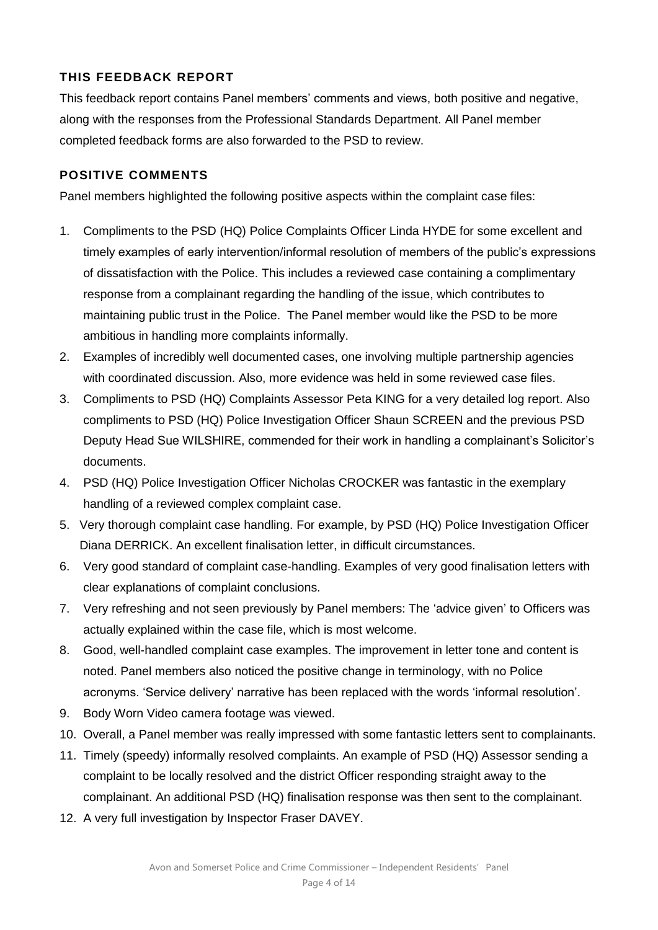# **THIS FEEDBACK REPORT**

This feedback report contains Panel members' comments and views, both positive and negative, along with the responses from the Professional Standards Department. All Panel member completed feedback forms are also forwarded to the PSD to review.

# **POSITIVE COMMENTS**

Panel members highlighted the following positive aspects within the complaint case files:

- 1. Compliments to the PSD (HQ) Police Complaints Officer Linda HYDE for some excellent and timely examples of early intervention/informal resolution of members of the public's expressions of dissatisfaction with the Police. This includes a reviewed case containing a complimentary response from a complainant regarding the handling of the issue, which contributes to maintaining public trust in the Police. The Panel member would like the PSD to be more ambitious in handling more complaints informally.
- 2. Examples of incredibly well documented cases, one involving multiple partnership agencies with coordinated discussion. Also, more evidence was held in some reviewed case files.
- 3. Compliments to PSD (HQ) Complaints Assessor Peta KING for a very detailed log report. Also compliments to PSD (HQ) Police Investigation Officer Shaun SCREEN and the previous PSD Deputy Head Sue WILSHIRE, commended for their work in handling a complainant's Solicitor's documents.
- 4. PSD (HQ) Police Investigation Officer Nicholas CROCKER was fantastic in the exemplary handling of a reviewed complex complaint case.
- 5. Very thorough complaint case handling. For example, by PSD (HQ) Police Investigation Officer Diana DERRICK. An excellent finalisation letter, in difficult circumstances.
- 6. Very good standard of complaint case-handling. Examples of very good finalisation letters with clear explanations of complaint conclusions.
- 7. Very refreshing and not seen previously by Panel members: The 'advice given' to Officers was actually explained within the case file, which is most welcome.
- 8. Good, well-handled complaint case examples. The improvement in letter tone and content is noted. Panel members also noticed the positive change in terminology, with no Police acronyms. 'Service delivery' narrative has been replaced with the words 'informal resolution'.
- 9. Body Worn Video camera footage was viewed.
- 10. Overall, a Panel member was really impressed with some fantastic letters sent to complainants.
- 11. Timely (speedy) informally resolved complaints. An example of PSD (HQ) Assessor sending a complaint to be locally resolved and the district Officer responding straight away to the complainant. An additional PSD (HQ) finalisation response was then sent to the complainant.
- 12. A very full investigation by Inspector Fraser DAVEY.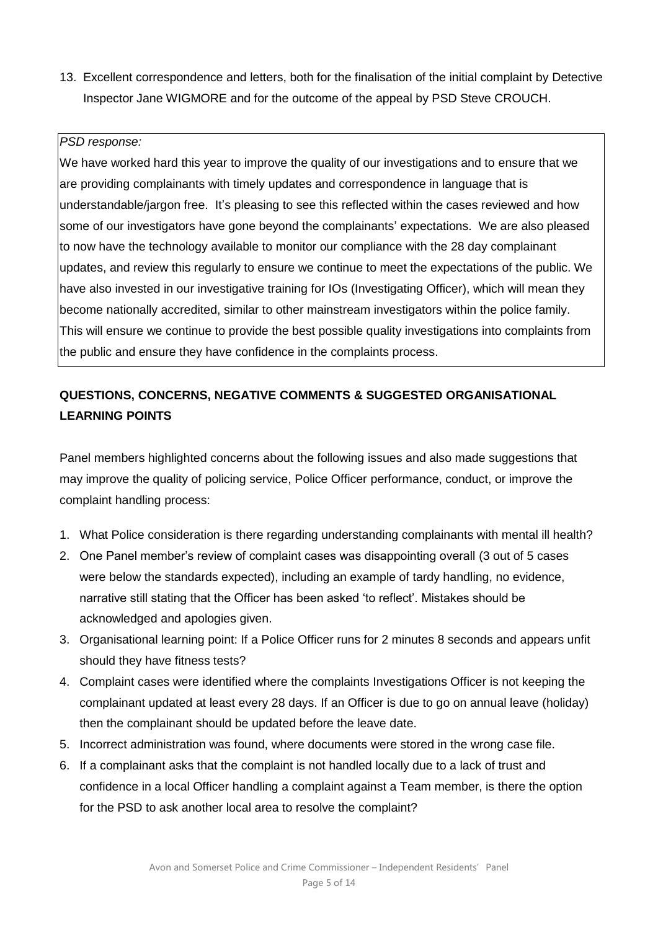13. Excellent correspondence and letters, both for the finalisation of the initial complaint by Detective Inspector Jane WIGMORE and for the outcome of the appeal by PSD Steve CROUCH.

#### *PSD response:*

We have worked hard this year to improve the quality of our investigations and to ensure that we are providing complainants with timely updates and correspondence in language that is understandable/jargon free. It's pleasing to see this reflected within the cases reviewed and how some of our investigators have gone beyond the complainants' expectations. We are also pleased to now have the technology available to monitor our compliance with the 28 day complainant updates, and review this regularly to ensure we continue to meet the expectations of the public. We have also invested in our investigative training for IOs (Investigating Officer), which will mean they become nationally accredited, similar to other mainstream investigators within the police family. This will ensure we continue to provide the best possible quality investigations into complaints from the public and ensure they have confidence in the complaints process.

# **QUESTIONS, CONCERNS, NEGATIVE COMMENTS & SUGGESTED ORGANISATIONAL LEARNING POINTS**

Panel members highlighted concerns about the following issues and also made suggestions that may improve the quality of policing service, Police Officer performance, conduct, or improve the complaint handling process:

- 1. What Police consideration is there regarding understanding complainants with mental ill health?
- 2. One Panel member's review of complaint cases was disappointing overall (3 out of 5 cases were below the standards expected), including an example of tardy handling, no evidence, narrative still stating that the Officer has been asked 'to reflect'. Mistakes should be acknowledged and apologies given.
- 3. Organisational learning point: If a Police Officer runs for 2 minutes 8 seconds and appears unfit should they have fitness tests?
- 4. Complaint cases were identified where the complaints Investigations Officer is not keeping the complainant updated at least every 28 days. If an Officer is due to go on annual leave (holiday) then the complainant should be updated before the leave date.
- 5. Incorrect administration was found, where documents were stored in the wrong case file.
- 6. If a complainant asks that the complaint is not handled locally due to a lack of trust and confidence in a local Officer handling a complaint against a Team member, is there the option for the PSD to ask another local area to resolve the complaint?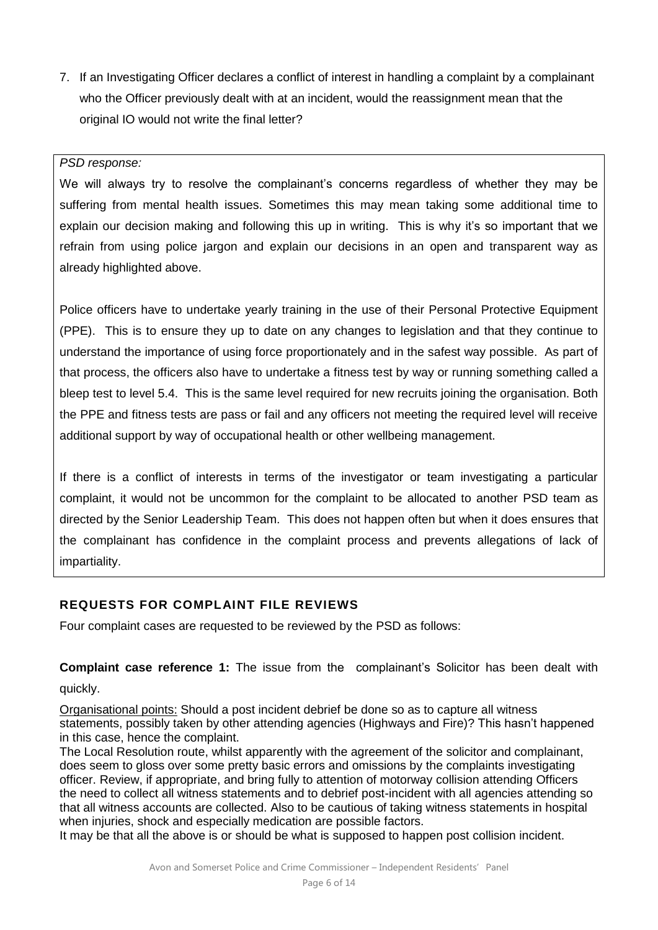7. If an Investigating Officer declares a conflict of interest in handling a complaint by a complainant who the Officer previously dealt with at an incident, would the reassignment mean that the original IO would not write the final letter?

#### *PSD response:*

We will always try to resolve the complainant's concerns regardless of whether they may be suffering from mental health issues. Sometimes this may mean taking some additional time to explain our decision making and following this up in writing. This is why it's so important that we refrain from using police jargon and explain our decisions in an open and transparent way as already highlighted above.

Police officers have to undertake yearly training in the use of their Personal Protective Equipment (PPE). This is to ensure they up to date on any changes to legislation and that they continue to understand the importance of using force proportionately and in the safest way possible. As part of that process, the officers also have to undertake a fitness test by way or running something called a bleep test to level 5.4. This is the same level required for new recruits joining the organisation. Both the PPE and fitness tests are pass or fail and any officers not meeting the required level will receive additional support by way of occupational health or other wellbeing management.

If there is a conflict of interests in terms of the investigator or team investigating a particular complaint, it would not be uncommon for the complaint to be allocated to another PSD team as directed by the Senior Leadership Team. This does not happen often but when it does ensures that the complainant has confidence in the complaint process and prevents allegations of lack of impartiality.

# **REQUESTS FOR COMPLAINT FILE REVIEWS**

Four complaint cases are requested to be reviewed by the PSD as follows:

**Complaint case reference 1:** The issue from the complainant's Solicitor has been dealt with quickly.

Organisational points: Should a post incident debrief be done so as to capture all witness statements, possibly taken by other attending agencies (Highways and Fire)? This hasn't happened in this case, hence the complaint.

The Local Resolution route, whilst apparently with the agreement of the solicitor and complainant, does seem to gloss over some pretty basic errors and omissions by the complaints investigating officer. Review, if appropriate, and bring fully to attention of motorway collision attending Officers the need to collect all witness statements and to debrief post-incident with all agencies attending so that all witness accounts are collected. Also to be cautious of taking witness statements in hospital when injuries, shock and especially medication are possible factors.

It may be that all the above is or should be what is supposed to happen post collision incident.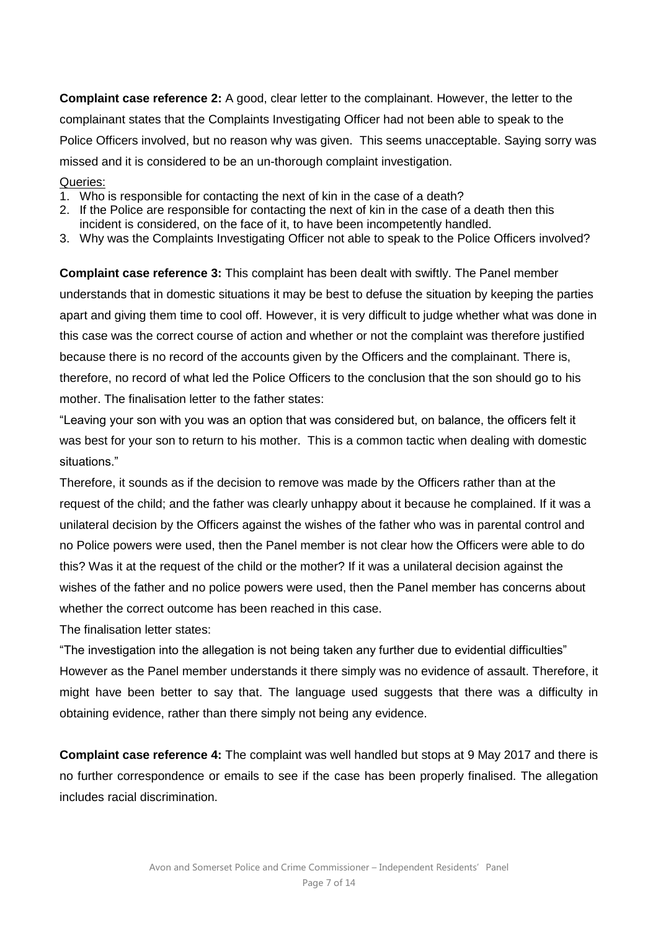**Complaint case reference 2:** A good, clear letter to the complainant. However, the letter to the complainant states that the Complaints Investigating Officer had not been able to speak to the Police Officers involved, but no reason why was given. This seems unacceptable. Saying sorry was missed and it is considered to be an un-thorough complaint investigation.

#### Queries:

- 1. Who is responsible for contacting the next of kin in the case of a death?
- 2. If the Police are responsible for contacting the next of kin in the case of a death then this incident is considered, on the face of it, to have been incompetently handled.
- 3. Why was the Complaints Investigating Officer not able to speak to the Police Officers involved?

**Complaint case reference 3:** This complaint has been dealt with swiftly. The Panel member understands that in domestic situations it may be best to defuse the situation by keeping the parties apart and giving them time to cool off. However, it is very difficult to judge whether what was done in this case was the correct course of action and whether or not the complaint was therefore justified because there is no record of the accounts given by the Officers and the complainant. There is, therefore, no record of what led the Police Officers to the conclusion that the son should go to his mother. The finalisation letter to the father states:

"Leaving your son with you was an option that was considered but, on balance, the officers felt it was best for your son to return to his mother. This is a common tactic when dealing with domestic situations."

Therefore, it sounds as if the decision to remove was made by the Officers rather than at the request of the child; and the father was clearly unhappy about it because he complained. If it was a unilateral decision by the Officers against the wishes of the father who was in parental control and no Police powers were used, then the Panel member is not clear how the Officers were able to do this? Was it at the request of the child or the mother? If it was a unilateral decision against the wishes of the father and no police powers were used, then the Panel member has concerns about whether the correct outcome has been reached in this case.

The finalisation letter states:

"The investigation into the allegation is not being taken any further due to evidential difficulties" However as the Panel member understands it there simply was no evidence of assault. Therefore, it might have been better to say that. The language used suggests that there was a difficulty in obtaining evidence, rather than there simply not being any evidence.

**Complaint case reference 4:** The complaint was well handled but stops at 9 May 2017 and there is no further correspondence or emails to see if the case has been properly finalised. The allegation includes racial discrimination.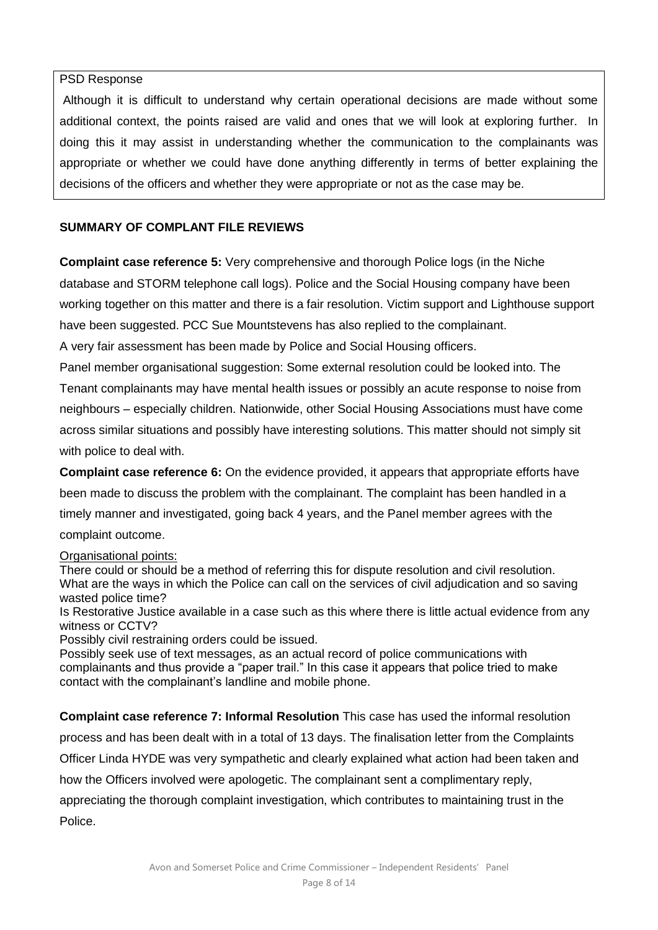#### PSD Response

Although it is difficult to understand why certain operational decisions are made without some additional context, the points raised are valid and ones that we will look at exploring further. In doing this it may assist in understanding whether the communication to the complainants was appropriate or whether we could have done anything differently in terms of better explaining the decisions of the officers and whether they were appropriate or not as the case may be.

# **SUMMARY OF COMPLANT FILE REVIEWS**

**Complaint case reference 5:** Very comprehensive and thorough Police logs (in the Niche database and STORM telephone call logs). Police and the Social Housing company have been working together on this matter and there is a fair resolution. Victim support and Lighthouse support have been suggested. PCC Sue Mountstevens has also replied to the complainant.

A very fair assessment has been made by Police and Social Housing officers.

Panel member organisational suggestion: Some external resolution could be looked into. The Tenant complainants may have mental health issues or possibly an acute response to noise from neighbours – especially children. Nationwide, other Social Housing Associations must have come across similar situations and possibly have interesting solutions. This matter should not simply sit with police to deal with.

**Complaint case reference 6:** On the evidence provided, it appears that appropriate efforts have been made to discuss the problem with the complainant. The complaint has been handled in a timely manner and investigated, going back 4 years, and the Panel member agrees with the complaint outcome.

# Organisational points:

There could or should be a method of referring this for dispute resolution and civil resolution. What are the ways in which the Police can call on the services of civil adjudication and so saving wasted police time?

Is Restorative Justice available in a case such as this where there is little actual evidence from any witness or CCTV?

Possibly civil restraining orders could be issued.

Possibly seek use of text messages, as an actual record of police communications with complainants and thus provide a "paper trail." In this case it appears that police tried to make contact with the complainant's landline and mobile phone.

**Complaint case reference 7: Informal Resolution** This case has used the informal resolution process and has been dealt with in a total of 13 days. The finalisation letter from the Complaints Officer Linda HYDE was very sympathetic and clearly explained what action had been taken and how the Officers involved were apologetic. The complainant sent a complimentary reply, appreciating the thorough complaint investigation, which contributes to maintaining trust in the Police.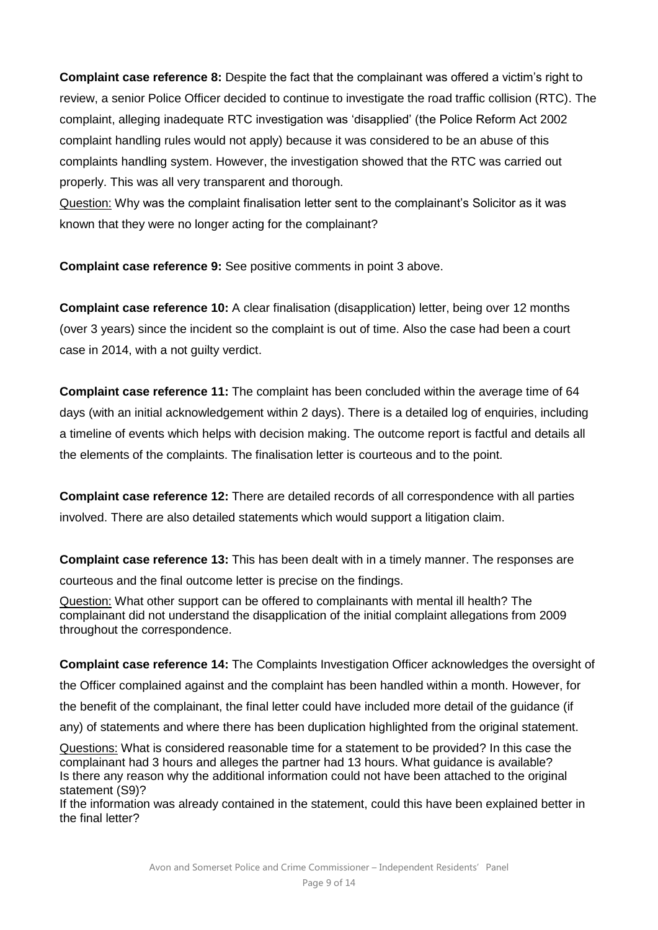**Complaint case reference 8:** Despite the fact that the complainant was offered a victim's right to review, a senior Police Officer decided to continue to investigate the road traffic collision (RTC). The complaint, alleging inadequate RTC investigation was 'disapplied' (the Police Reform Act 2002 complaint handling rules would not apply) because it was considered to be an abuse of this complaints handling system. However, the investigation showed that the RTC was carried out properly. This was all very transparent and thorough.

Question: Why was the complaint finalisation letter sent to the complainant's Solicitor as it was known that they were no longer acting for the complainant?

**Complaint case reference 9:** See positive comments in point 3 above.

**Complaint case reference 10:** A clear finalisation (disapplication) letter, being over 12 months (over 3 years) since the incident so the complaint is out of time. Also the case had been a court case in 2014, with a not guilty verdict.

**Complaint case reference 11:** The complaint has been concluded within the average time of 64 days (with an initial acknowledgement within 2 days). There is a detailed log of enquiries, including a timeline of events which helps with decision making. The outcome report is factful and details all the elements of the complaints. The finalisation letter is courteous and to the point.

**Complaint case reference 12:** There are detailed records of all correspondence with all parties involved. There are also detailed statements which would support a litigation claim.

**Complaint case reference 13:** This has been dealt with in a timely manner. The responses are courteous and the final outcome letter is precise on the findings.

Question: What other support can be offered to complainants with mental ill health? The complainant did not understand the disapplication of the initial complaint allegations from 2009 throughout the correspondence.

# **Complaint case reference 14:** The Complaints Investigation Officer acknowledges the oversight of

the Officer complained against and the complaint has been handled within a month. However, for

the benefit of the complainant, the final letter could have included more detail of the guidance (if

any) of statements and where there has been duplication highlighted from the original statement.

Questions: What is considered reasonable time for a statement to be provided? In this case the complainant had 3 hours and alleges the partner had 13 hours. What guidance is available? Is there any reason why the additional information could not have been attached to the original statement (S9)?

If the information was already contained in the statement, could this have been explained better in the final letter?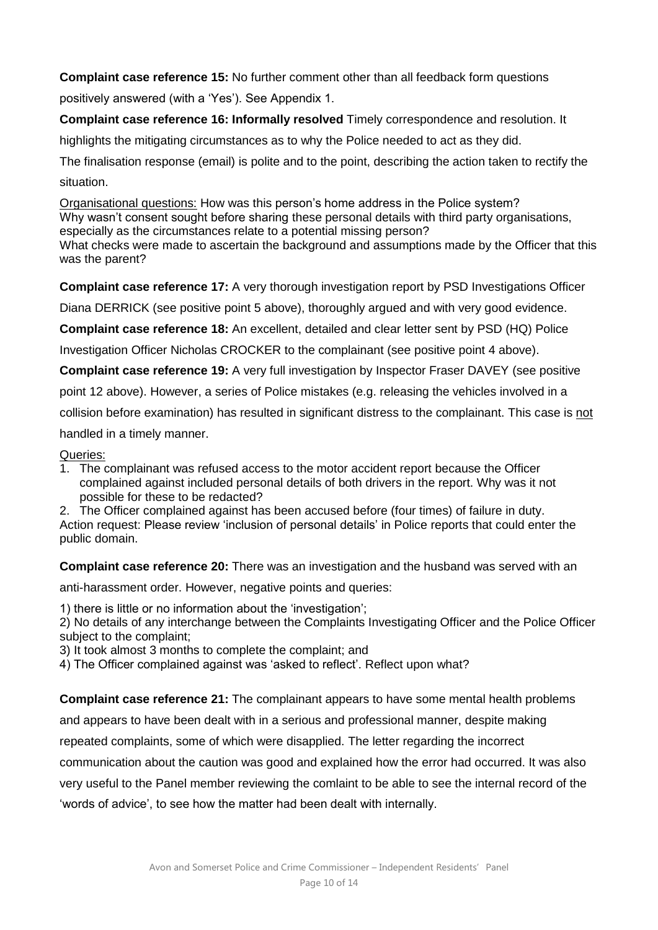# **Complaint case reference 15:** No further comment other than all feedback form questions

positively answered (with a 'Yes'). See Appendix 1.

**Complaint case reference 16: Informally resolved** Timely correspondence and resolution. It

highlights the mitigating circumstances as to why the Police needed to act as they did.

The finalisation response (email) is polite and to the point, describing the action taken to rectify the situation.

Organisational questions: How was this person's home address in the Police system? Why wasn't consent sought before sharing these personal details with third party organisations, especially as the circumstances relate to a potential missing person?

What checks were made to ascertain the background and assumptions made by the Officer that this was the parent?

**Complaint case reference 17:** A very thorough investigation report by PSD Investigations Officer

Diana DERRICK (see positive point 5 above), thoroughly argued and with very good evidence.

**Complaint case reference 18:** An excellent, detailed and clear letter sent by PSD (HQ) Police

Investigation Officer Nicholas CROCKER to the complainant (see positive point 4 above).

**Complaint case reference 19:** A very full investigation by Inspector Fraser DAVEY (see positive

point 12 above). However, a series of Police mistakes (e.g. releasing the vehicles involved in a

collision before examination) has resulted in significant distress to the complainant. This case is not

handled in a timely manner.

# Queries:

1. The complainant was refused access to the motor accident report because the Officer complained against included personal details of both drivers in the report. Why was it not possible for these to be redacted?

2. The Officer complained against has been accused before (four times) of failure in duty. Action request: Please review 'inclusion of personal details' in Police reports that could enter the public domain.

**Complaint case reference 20:** There was an investigation and the husband was served with an

anti-harassment order. However, negative points and queries:

1) there is little or no information about the 'investigation';

2) No details of any interchange between the Complaints Investigating Officer and the Police Officer subject to the complaint;

3) It took almost 3 months to complete the complaint; and

4) The Officer complained against was 'asked to reflect'. Reflect upon what?

**Complaint case reference 21:** The complainant appears to have some mental health problems

and appears to have been dealt with in a serious and professional manner, despite making

repeated complaints, some of which were disapplied. The letter regarding the incorrect

communication about the caution was good and explained how the error had occurred. It was also

very useful to the Panel member reviewing the comlaint to be able to see the internal record of the 'words of advice', to see how the matter had been dealt with internally.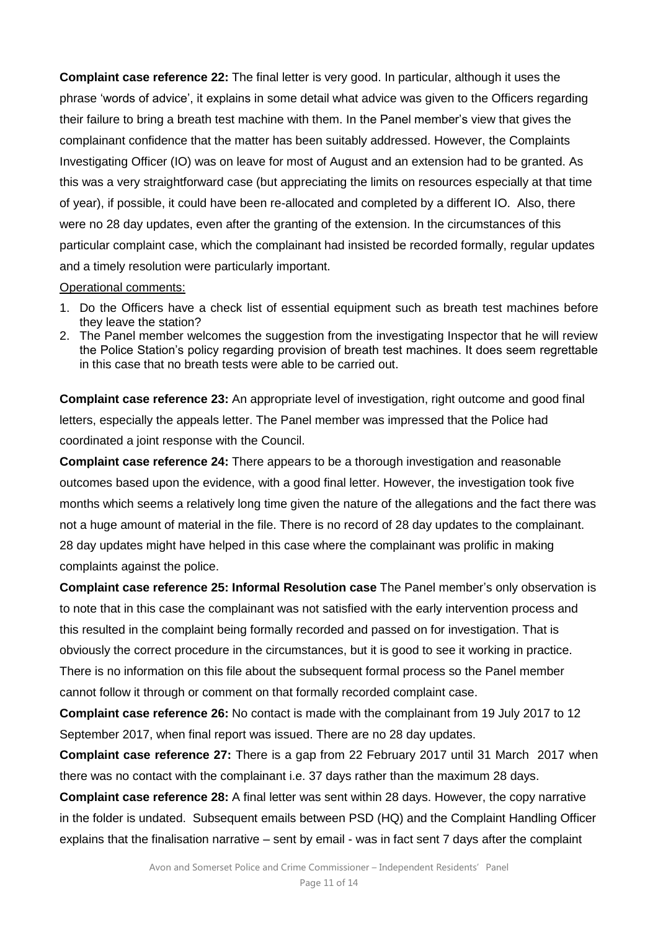**Complaint case reference 22:** The final letter is very good. In particular, although it uses the phrase 'words of advice', it explains in some detail what advice was given to the Officers regarding their failure to bring a breath test machine with them. In the Panel member's view that gives the complainant confidence that the matter has been suitably addressed. However, the Complaints Investigating Officer (IO) was on leave for most of August and an extension had to be granted. As this was a very straightforward case (but appreciating the limits on resources especially at that time of year), if possible, it could have been re-allocated and completed by a different IO. Also, there were no 28 day updates, even after the granting of the extension. In the circumstances of this particular complaint case, which the complainant had insisted be recorded formally, regular updates and a timely resolution were particularly important.

#### Operational comments:

- 1. Do the Officers have a check list of essential equipment such as breath test machines before they leave the station?
- 2. The Panel member welcomes the suggestion from the investigating Inspector that he will review the Police Station's policy regarding provision of breath test machines. It does seem regrettable in this case that no breath tests were able to be carried out.

**Complaint case reference 23:** An appropriate level of investigation, right outcome and good final letters, especially the appeals letter. The Panel member was impressed that the Police had coordinated a joint response with the Council.

**Complaint case reference 24:** There appears to be a thorough investigation and reasonable outcomes based upon the evidence, with a good final letter. However, the investigation took five months which seems a relatively long time given the nature of the allegations and the fact there was not a huge amount of material in the file. There is no record of 28 day updates to the complainant. 28 day updates might have helped in this case where the complainant was prolific in making complaints against the police.

**Complaint case reference 25: Informal Resolution case** The Panel member's only observation is to note that in this case the complainant was not satisfied with the early intervention process and this resulted in the complaint being formally recorded and passed on for investigation. That is obviously the correct procedure in the circumstances, but it is good to see it working in practice. There is no information on this file about the subsequent formal process so the Panel member cannot follow it through or comment on that formally recorded complaint case.

**Complaint case reference 26:** No contact is made with the complainant from 19 July 2017 to 12 September 2017, when final report was issued. There are no 28 day updates.

**Complaint case reference 27:** There is a gap from 22 February 2017 until 31 March 2017 when there was no contact with the complainant i.e. 37 days rather than the maximum 28 days.

**Complaint case reference 28:** A final letter was sent within 28 days. However, the copy narrative in the folder is undated. Subsequent emails between PSD (HQ) and the Complaint Handling Officer explains that the finalisation narrative – sent by email - was in fact sent 7 days after the complaint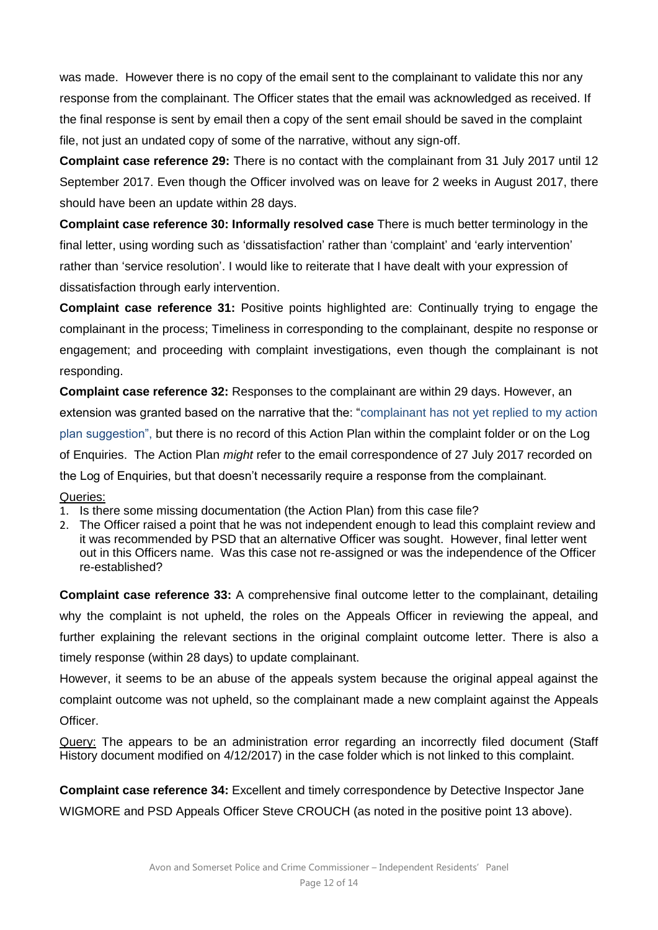was made. However there is no copy of the email sent to the complainant to validate this nor any response from the complainant. The Officer states that the email was acknowledged as received. If the final response is sent by email then a copy of the sent email should be saved in the complaint file, not just an undated copy of some of the narrative, without any sign-off.

**Complaint case reference 29:** There is no contact with the complainant from 31 July 2017 until 12 September 2017. Even though the Officer involved was on leave for 2 weeks in August 2017, there should have been an update within 28 days.

**Complaint case reference 30: Informally resolved case** There is much better terminology in the final letter, using wording such as 'dissatisfaction' rather than 'complaint' and 'early intervention' rather than 'service resolution'. I would like to reiterate that I have dealt with your expression of dissatisfaction through early intervention.

**Complaint case reference 31:** Positive points highlighted are: Continually trying to engage the complainant in the process; Timeliness in corresponding to the complainant, despite no response or engagement; and proceeding with complaint investigations, even though the complainant is not responding.

**Complaint case reference 32:** Responses to the complainant are within 29 days. However, an extension was granted based on the narrative that the: "complainant has not yet replied to my action plan suggestion", but there is no record of this Action Plan within the complaint folder or on the Log of Enquiries. The Action Plan *might* refer to the email correspondence of 27 July 2017 recorded on the Log of Enquiries, but that doesn't necessarily require a response from the complainant. Queries:

- 1. Is there some missing documentation (the Action Plan) from this case file?
- 2. The Officer raised a point that he was not independent enough to lead this complaint review and it was recommended by PSD that an alternative Officer was sought. However, final letter went out in this Officers name. Was this case not re-assigned or was the independence of the Officer re-established?

**Complaint case reference 33:** A comprehensive final outcome letter to the complainant, detailing why the complaint is not upheld, the roles on the Appeals Officer in reviewing the appeal, and further explaining the relevant sections in the original complaint outcome letter. There is also a timely response (within 28 days) to update complainant.

However, it seems to be an abuse of the appeals system because the original appeal against the complaint outcome was not upheld, so the complainant made a new complaint against the Appeals **Officer** 

Query: The appears to be an administration error regarding an incorrectly filed document (Staff History document modified on 4/12/2017) in the case folder which is not linked to this complaint.

**Complaint case reference 34:** Excellent and timely correspondence by Detective Inspector Jane WIGMORE and PSD Appeals Officer Steve CROUCH (as noted in the positive point 13 above).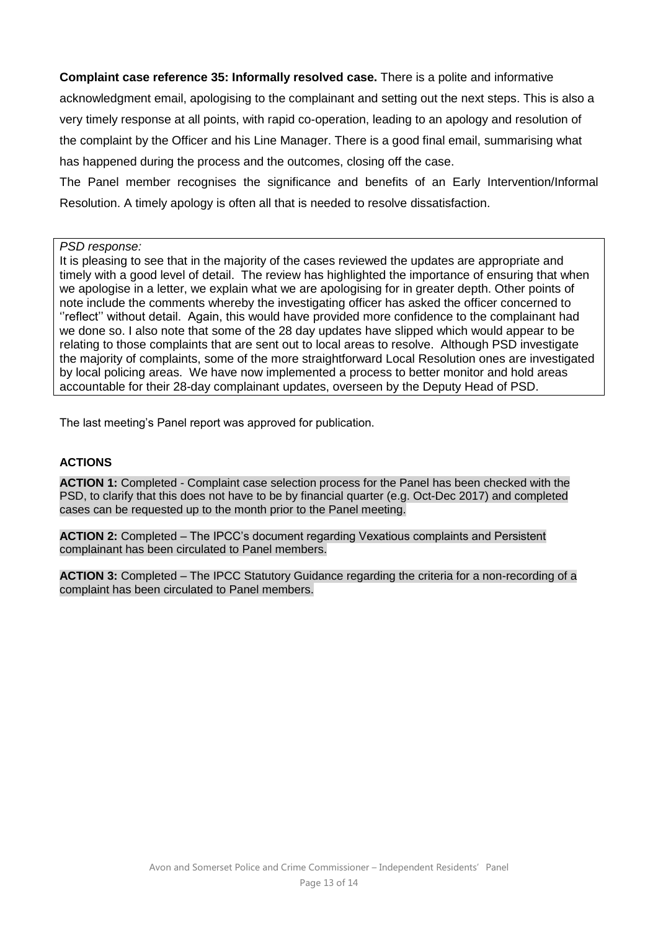**Complaint case reference 35: Informally resolved case.** There is a polite and informative acknowledgment email, apologising to the complainant and setting out the next steps. This is also a very timely response at all points, with rapid co-operation, leading to an apology and resolution of the complaint by the Officer and his Line Manager. There is a good final email, summarising what has happened during the process and the outcomes, closing off the case.

The Panel member recognises the significance and benefits of an Early Intervention/Informal Resolution. A timely apology is often all that is needed to resolve dissatisfaction.

*PSD response:*

It is pleasing to see that in the majority of the cases reviewed the updates are appropriate and timely with a good level of detail. The review has highlighted the importance of ensuring that when we apologise in a letter, we explain what we are apologising for in greater depth. Other points of note include the comments whereby the investigating officer has asked the officer concerned to ''reflect'' without detail. Again, this would have provided more confidence to the complainant had we done so. I also note that some of the 28 day updates have slipped which would appear to be relating to those complaints that are sent out to local areas to resolve. Although PSD investigate the majority of complaints, some of the more straightforward Local Resolution ones are investigated by local policing areas. We have now implemented a process to better monitor and hold areas accountable for their 28-day complainant updates, overseen by the Deputy Head of PSD.

The last meeting's Panel report was approved for publication.

#### **ACTIONS**

**ACTION 1:** Completed - Complaint case selection process for the Panel has been checked with the PSD, to clarify that this does not have to be by financial quarter (e.g. Oct-Dec 2017) and completed cases can be requested up to the month prior to the Panel meeting.

**ACTION 2:** Completed – The IPCC's document regarding Vexatious complaints and Persistent complainant has been circulated to Panel members.

**ACTION 3:** Completed – The IPCC Statutory Guidance regarding the criteria for a non-recording of a complaint has been circulated to Panel members.